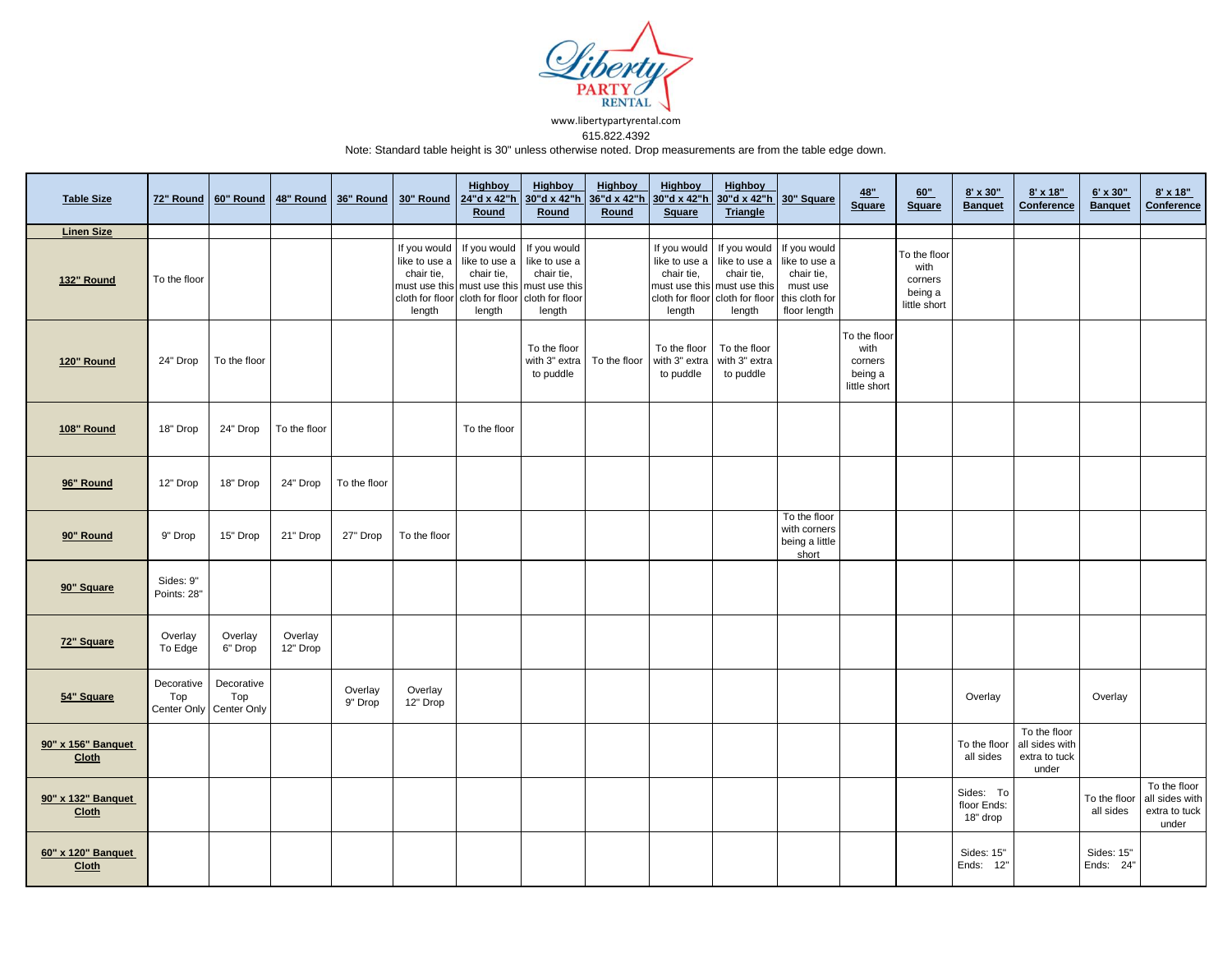

www.libertypartyrental.com 615.822.4392

Note: Standard table height is 30" unless otherwise noted. Drop measurements are from the table edge down.

| <b>Table Size</b>                  | 72" Round                |                                              | 60" Round 48" Round 36" Round |                    | 30" Round                                                                | <b>Highboy</b><br>24"d x 42"h<br>Round                                                                                                | <b>Highboy</b><br>30"d x 42"h<br>Round                | <b>Highboy</b><br>36"d x 42"h<br>Round | <b>Highboy</b><br>30"d x 42"h<br><b>Square</b>        | <b>Highboy</b><br>30"d x 42"h<br><b>Triangle</b>                                                                                       | 30" Square                                                              | 48"<br>Square                                              | 60"<br><b>Square</b>                                       | 8' x 30"<br><b>Banquet</b>           | $8' \times 18"$<br>Conference                            | 6' x 30"<br><b>Banquet</b> | $8' \times 18"$<br>Conference                            |
|------------------------------------|--------------------------|----------------------------------------------|-------------------------------|--------------------|--------------------------------------------------------------------------|---------------------------------------------------------------------------------------------------------------------------------------|-------------------------------------------------------|----------------------------------------|-------------------------------------------------------|----------------------------------------------------------------------------------------------------------------------------------------|-------------------------------------------------------------------------|------------------------------------------------------------|------------------------------------------------------------|--------------------------------------|----------------------------------------------------------|----------------------------|----------------------------------------------------------|
| <b>Linen Size</b>                  |                          |                                              |                               |                    |                                                                          |                                                                                                                                       |                                                       |                                        |                                                       |                                                                                                                                        |                                                                         |                                                            |                                                            |                                      |                                                          |                            |                                                          |
| 132" Round                         | To the floor             |                                              |                               |                    | If you would<br>like to use a<br>chair tie,<br>cloth for floor<br>length | If you would<br>like to use a<br>chair tie,<br>must use this must use this must use this<br>cloth for floor cloth for floor<br>length | If you would<br>like to use a<br>chair tie,<br>length |                                        | If you would<br>like to use a<br>chair tie,<br>length | If you would<br>like to use a<br>chair tie,<br>must use this must use this<br>cloth for floor cloth for floor this cloth for<br>length | If you would<br>like to use a<br>chair tie,<br>must use<br>floor length |                                                            | To the floor<br>with<br>corners<br>being a<br>little short |                                      |                                                          |                            |                                                          |
| 120" Round                         | 24" Drop                 | To the floor                                 |                               |                    |                                                                          |                                                                                                                                       | To the floor<br>with 3" extra<br>to puddle            | To the floor                           | To the floor<br>with 3" extra<br>to puddle            | To the floor<br>with 3" extra<br>to puddle                                                                                             |                                                                         | To the floor<br>with<br>corners<br>being a<br>little short |                                                            |                                      |                                                          |                            |                                                          |
| 108" Round                         | 18" Drop                 | 24" Drop                                     | To the floor                  |                    |                                                                          | To the floor                                                                                                                          |                                                       |                                        |                                                       |                                                                                                                                        |                                                                         |                                                            |                                                            |                                      |                                                          |                            |                                                          |
| 96" Round                          | 12" Drop                 | 18" Drop                                     | 24" Drop                      | To the floor       |                                                                          |                                                                                                                                       |                                                       |                                        |                                                       |                                                                                                                                        |                                                                         |                                                            |                                                            |                                      |                                                          |                            |                                                          |
| 90" Round                          | 9" Drop                  | 15" Drop                                     | 21" Drop                      | 27" Drop           | To the floor                                                             |                                                                                                                                       |                                                       |                                        |                                                       |                                                                                                                                        | To the floor<br>with corners<br>being a little<br>short                 |                                                            |                                                            |                                      |                                                          |                            |                                                          |
| 90" Square                         | Sides: 9"<br>Points: 28" |                                              |                               |                    |                                                                          |                                                                                                                                       |                                                       |                                        |                                                       |                                                                                                                                        |                                                                         |                                                            |                                                            |                                      |                                                          |                            |                                                          |
| 72" Square                         | Overlay<br>To Edge       | Overlay<br>6" Drop                           | Overlay<br>12" Drop           |                    |                                                                          |                                                                                                                                       |                                                       |                                        |                                                       |                                                                                                                                        |                                                                         |                                                            |                                                            |                                      |                                                          |                            |                                                          |
| 54" Square                         | Decorative<br>Top        | Decorative<br>Top<br>Center Only Center Only |                               | Overlay<br>9" Drop | Overlay<br>12" Drop                                                      |                                                                                                                                       |                                                       |                                        |                                                       |                                                                                                                                        |                                                                         |                                                            |                                                            | Overlay                              |                                                          | Overlay                    |                                                          |
| 90" x 156" Banquet<br><b>Cloth</b> |                          |                                              |                               |                    |                                                                          |                                                                                                                                       |                                                       |                                        |                                                       |                                                                                                                                        |                                                                         |                                                            |                                                            | To the floor<br>all sides            | To the floor<br>all sides with<br>extra to tuck<br>under |                            |                                                          |
| 90" x 132" Banquet<br>Cloth        |                          |                                              |                               |                    |                                                                          |                                                                                                                                       |                                                       |                                        |                                                       |                                                                                                                                        |                                                                         |                                                            |                                                            | Sides: To<br>floor Ends:<br>18" drop |                                                          | To the floor<br>all sides  | To the floor<br>all sides with<br>extra to tuck<br>under |
| 60" x 120" Banquet<br><b>Cloth</b> |                          |                                              |                               |                    |                                                                          |                                                                                                                                       |                                                       |                                        |                                                       |                                                                                                                                        |                                                                         |                                                            |                                                            | Sides: 15"<br>Ends: 12"              |                                                          | Sides: 15"<br>Ends: 24"    |                                                          |